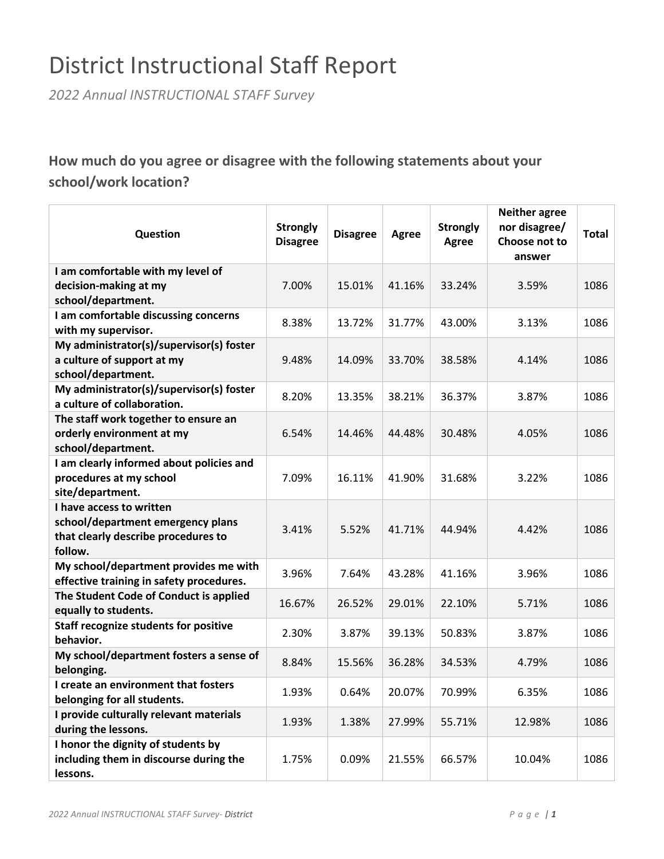## District Instructional Staff Report

*2022 Annual INSTRUCTIONAL STAFF Survey*

## **How much do you agree or disagree with the following statements about your school/work location?**

| Question                                                                                                        | <b>Strongly</b><br><b>Disagree</b> | <b>Disagree</b> | Agree  | <b>Strongly</b><br><b>Agree</b> | <b>Neither agree</b><br>nor disagree/<br>Choose not to<br>answer | <b>Total</b> |
|-----------------------------------------------------------------------------------------------------------------|------------------------------------|-----------------|--------|---------------------------------|------------------------------------------------------------------|--------------|
| I am comfortable with my level of                                                                               |                                    |                 |        |                                 |                                                                  |              |
| decision-making at my                                                                                           | 7.00%                              | 15.01%          | 41.16% | 33.24%                          | 3.59%                                                            | 1086         |
| school/department.                                                                                              |                                    |                 |        |                                 |                                                                  |              |
| I am comfortable discussing concerns                                                                            |                                    |                 |        |                                 |                                                                  |              |
| with my supervisor.                                                                                             | 8.38%                              | 13.72%          | 31.77% | 43.00%                          | 3.13%                                                            | 1086         |
| My administrator(s)/supervisor(s) foster                                                                        |                                    |                 |        |                                 |                                                                  |              |
| a culture of support at my                                                                                      | 9.48%                              | 14.09%          | 33.70% | 38.58%                          | 4.14%                                                            | 1086         |
| school/department.                                                                                              |                                    |                 |        |                                 |                                                                  |              |
| My administrator(s)/supervisor(s) foster                                                                        |                                    |                 |        |                                 |                                                                  |              |
| a culture of collaboration.                                                                                     | 8.20%                              | 13.35%          | 38.21% | 36.37%                          | 3.87%                                                            | 1086         |
| The staff work together to ensure an                                                                            |                                    |                 |        |                                 |                                                                  |              |
| orderly environment at my                                                                                       | 6.54%                              | 14.46%          | 44.48% | 30.48%                          | 4.05%                                                            | 1086         |
| school/department.                                                                                              |                                    |                 |        |                                 |                                                                  |              |
| I am clearly informed about policies and                                                                        |                                    |                 |        |                                 |                                                                  |              |
| procedures at my school                                                                                         | 7.09%                              | 16.11%          | 41.90% | 31.68%                          | 3.22%                                                            | 1086         |
| site/department.                                                                                                |                                    |                 |        |                                 |                                                                  |              |
| I have access to written<br>school/department emergency plans<br>that clearly describe procedures to<br>follow. | 3.41%                              | 5.52%           | 41.71% | 44.94%                          | 4.42%                                                            | 1086         |
| My school/department provides me with<br>effective training in safety procedures.                               | 3.96%                              | 7.64%           | 43.28% | 41.16%                          | 3.96%                                                            | 1086         |
| The Student Code of Conduct is applied<br>equally to students.                                                  | 16.67%                             | 26.52%          | 29.01% | 22.10%                          | 5.71%                                                            | 1086         |
| <b>Staff recognize students for positive</b><br>behavior.                                                       | 2.30%                              | 3.87%           | 39.13% | 50.83%                          | 3.87%                                                            | 1086         |
| My school/department fosters a sense of<br>belonging.                                                           | 8.84%                              | 15.56%          | 36.28% | 34.53%                          | 4.79%                                                            | 1086         |
| I create an environment that fosters                                                                            |                                    |                 |        |                                 |                                                                  |              |
| belonging for all students.                                                                                     | 1.93%                              | 0.64%           | 20.07% | 70.99%                          | 6.35%                                                            | 1086         |
| I provide culturally relevant materials<br>during the lessons.                                                  | 1.93%                              | 1.38%           | 27.99% | 55.71%                          | 12.98%                                                           | 1086         |
| I honor the dignity of students by<br>including them in discourse during the<br>lessons.                        | 1.75%                              | 0.09%           | 21.55% | 66.57%                          | 10.04%                                                           | 1086         |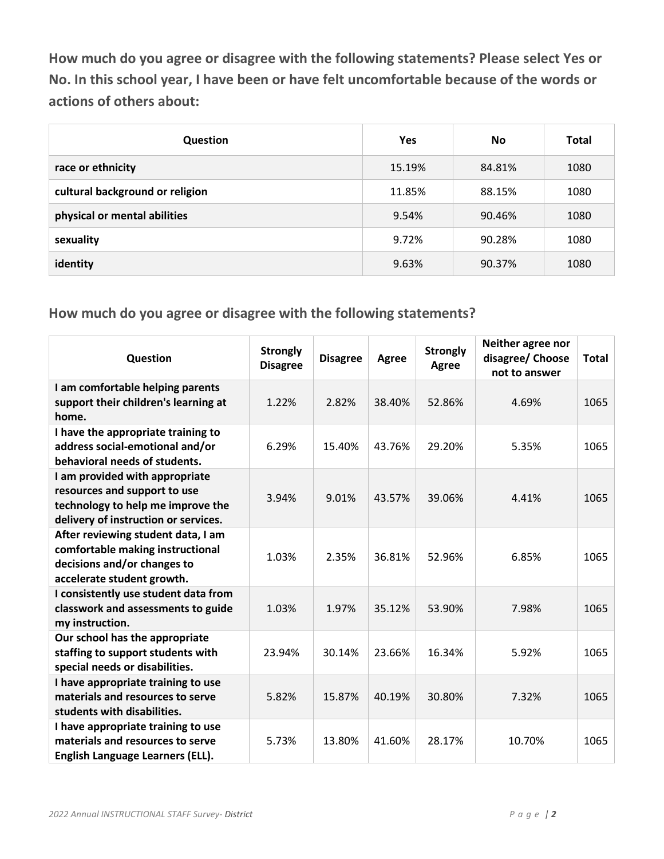**How much do you agree or disagree with the following statements? Please select Yes or No. In this school year, I have been or have felt uncomfortable because of the words or actions of others about:**

| <b>Question</b>                 | <b>Yes</b> | <b>No</b> | Total |
|---------------------------------|------------|-----------|-------|
| race or ethnicity               | 15.19%     | 84.81%    | 1080  |
| cultural background or religion | 11.85%     | 88.15%    | 1080  |
| physical or mental abilities    | 9.54%      | 90.46%    | 1080  |
| sexuality                       | 9.72%      | 90.28%    | 1080  |
| identity                        | 9.63%      | 90.37%    | 1080  |

**How much do you agree or disagree with the following statements?**

| Question                                                                                                                                    | <b>Strongly</b><br><b>Disagree</b> | <b>Disagree</b> | <b>Agree</b> | <b>Strongly</b><br><b>Agree</b> | Neither agree nor<br>disagree/ Choose<br>not to answer | <b>Total</b> |
|---------------------------------------------------------------------------------------------------------------------------------------------|------------------------------------|-----------------|--------------|---------------------------------|--------------------------------------------------------|--------------|
| I am comfortable helping parents<br>support their children's learning at<br>home.                                                           | 1.22%                              | 2.82%           | 38.40%       | 52.86%                          | 4.69%                                                  | 1065         |
| I have the appropriate training to<br>address social-emotional and/or<br>behavioral needs of students.                                      | 6.29%                              | 15.40%          | 43.76%       | 29.20%                          | 5.35%                                                  | 1065         |
| I am provided with appropriate<br>resources and support to use<br>technology to help me improve the<br>delivery of instruction or services. | 3.94%                              | 9.01%           | 43.57%       | 39.06%                          | 4.41%                                                  | 1065         |
| After reviewing student data, I am<br>comfortable making instructional<br>decisions and/or changes to<br>accelerate student growth.         | 1.03%                              | 2.35%           | 36.81%       | 52.96%                          | 6.85%                                                  | 1065         |
| I consistently use student data from<br>classwork and assessments to guide<br>my instruction.                                               | 1.03%                              | 1.97%           | 35.12%       | 53.90%                          | 7.98%                                                  | 1065         |
| Our school has the appropriate<br>staffing to support students with<br>special needs or disabilities.                                       | 23.94%                             | 30.14%          | 23.66%       | 16.34%                          | 5.92%                                                  | 1065         |
| I have appropriate training to use<br>materials and resources to serve<br>students with disabilities.                                       | 5.82%                              | 15.87%          | 40.19%       | 30.80%                          | 7.32%                                                  | 1065         |
| I have appropriate training to use<br>materials and resources to serve<br>English Language Learners (ELL).                                  | 5.73%                              | 13.80%          | 41.60%       | 28.17%                          | 10.70%                                                 | 1065         |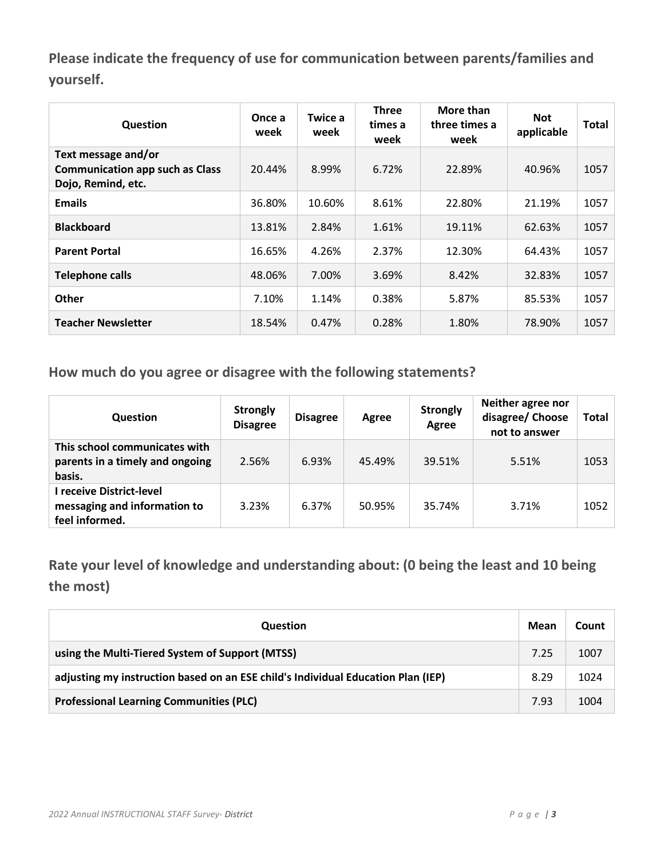**Please indicate the frequency of use for communication between parents/families and yourself.**

| Question                                                                            | Once a<br>week | Twice a<br>week | Three<br>times a<br>week | More than<br>three times a<br>week | <b>Not</b><br>applicable | Total |
|-------------------------------------------------------------------------------------|----------------|-----------------|--------------------------|------------------------------------|--------------------------|-------|
| Text message and/or<br><b>Communication app such as Class</b><br>Dojo, Remind, etc. | 20.44%         | 8.99%           | 6.72%                    | 22.89%                             | 40.96%                   | 1057  |
| <b>Emails</b>                                                                       | 36.80%         | 10.60%          | 8.61%                    | 22.80%                             | 21.19%                   | 1057  |
| <b>Blackboard</b>                                                                   | 13.81%         | 2.84%           | 1.61%                    | 19.11%                             | 62.63%                   | 1057  |
| <b>Parent Portal</b>                                                                | 16.65%         | 4.26%           | 2.37%                    | 12.30%                             | 64.43%                   | 1057  |
| <b>Telephone calls</b>                                                              | 48.06%         | 7.00%           | 3.69%                    | 8.42%                              | 32.83%                   | 1057  |
| Other                                                                               | 7.10%          | 1.14%           | 0.38%                    | 5.87%                              | 85.53%                   | 1057  |
| <b>Teacher Newsletter</b>                                                           | 18.54%         | 0.47%           | 0.28%                    | 1.80%                              | 78.90%                   | 1057  |

**How much do you agree or disagree with the following statements?**

| <b>Question</b>                                                            | <b>Strongly</b><br><b>Disagree</b> | <b>Disagree</b> | Agree  | <b>Strongly</b><br>Agree | Neither agree nor<br>disagree/ Choose<br>not to answer | <b>Total</b> |
|----------------------------------------------------------------------------|------------------------------------|-----------------|--------|--------------------------|--------------------------------------------------------|--------------|
| This school communicates with<br>parents in a timely and ongoing<br>basis. | 2.56%                              | 6.93%           | 45.49% | 39.51%                   | 5.51%                                                  | 1053         |
| I receive District-level<br>messaging and information to<br>feel informed. | 3.23%                              | 6.37%           | 50.95% | 35.74%                   | 3.71%                                                  | 1052         |

**Rate your level of knowledge and understanding about: (0 being the least and 10 being the most)**

| Question                                                                         | Mean | Count |
|----------------------------------------------------------------------------------|------|-------|
| using the Multi-Tiered System of Support (MTSS)                                  | 7.25 | 1007  |
| adjusting my instruction based on an ESE child's Individual Education Plan (IEP) | 8.29 | 1024  |
| <b>Professional Learning Communities (PLC)</b>                                   | 7.93 | 1004  |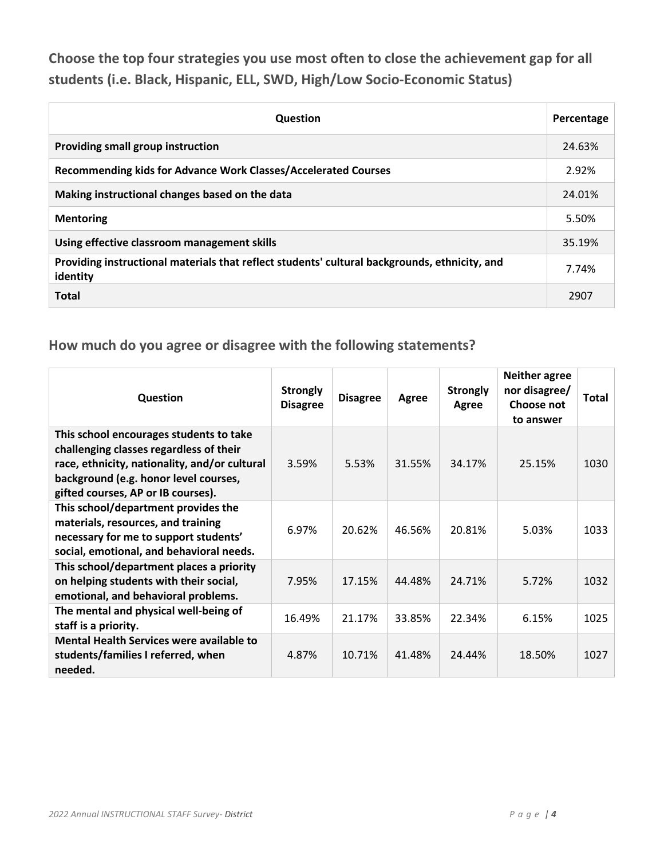**Choose the top four strategies you use most often to close the achievement gap for all students (i.e. Black, Hispanic, ELL, SWD, High/Low Socio-Economic Status)**

| <b>Question</b>                                                                                           | Percentage |
|-----------------------------------------------------------------------------------------------------------|------------|
| Providing small group instruction                                                                         | 24.63%     |
| <b>Recommending kids for Advance Work Classes/Accelerated Courses</b>                                     | 2.92%      |
| Making instructional changes based on the data                                                            | 24.01%     |
| <b>Mentoring</b>                                                                                          | 5.50%      |
| Using effective classroom management skills                                                               | 35.19%     |
| Providing instructional materials that reflect students' cultural backgrounds, ethnicity, and<br>identity | 7.74%      |
| <b>Total</b>                                                                                              | 2907       |

#### **How much do you agree or disagree with the following statements?**

| Question                                                                                                                                                                                                           | <b>Strongly</b><br><b>Disagree</b> | <b>Disagree</b> | Agree  | <b>Strongly</b><br>Agree | <b>Neither agree</b><br>nor disagree/<br>Choose not<br>to answer | <b>Total</b> |
|--------------------------------------------------------------------------------------------------------------------------------------------------------------------------------------------------------------------|------------------------------------|-----------------|--------|--------------------------|------------------------------------------------------------------|--------------|
| This school encourages students to take<br>challenging classes regardless of their<br>race, ethnicity, nationality, and/or cultural<br>background (e.g. honor level courses,<br>gifted courses, AP or IB courses). | 3.59%                              | 5.53%           | 31.55% | 34.17%                   | 25.15%                                                           | 1030         |
| This school/department provides the<br>materials, resources, and training<br>necessary for me to support students'<br>social, emotional, and behavioral needs.                                                     | 6.97%                              | 20.62%          | 46.56% | 20.81%                   | 5.03%                                                            | 1033         |
| This school/department places a priority<br>on helping students with their social,<br>emotional, and behavioral problems.                                                                                          | 7.95%                              | 17.15%          | 44.48% | 24.71%                   | 5.72%                                                            | 1032         |
| The mental and physical well-being of<br>staff is a priority.                                                                                                                                                      | 16.49%                             | 21.17%          | 33.85% | 22.34%                   | 6.15%                                                            | 1025         |
| <b>Mental Health Services were available to</b><br>students/families I referred, when<br>needed.                                                                                                                   | 4.87%                              | 10.71%          | 41.48% | 24.44%                   | 18.50%                                                           | 1027         |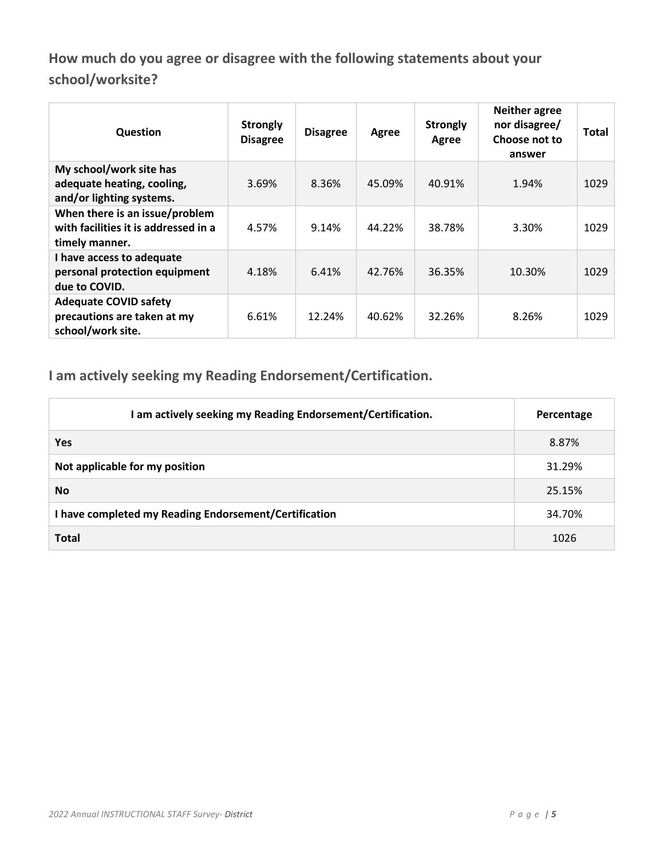**How much do you agree or disagree with the following statements about your school/worksite?**

| Question                                                                                 | <b>Strongly</b><br><b>Disagree</b> | <b>Disagree</b> | Agree  | <b>Strongly</b><br>Agree | <b>Neither agree</b><br>nor disagree/<br>Choose not to<br>answer | Total |
|------------------------------------------------------------------------------------------|------------------------------------|-----------------|--------|--------------------------|------------------------------------------------------------------|-------|
| My school/work site has<br>adequate heating, cooling,<br>and/or lighting systems.        | 3.69%                              | 8.36%           | 45.09% | 40.91%                   | 1.94%                                                            | 1029  |
| When there is an issue/problem<br>with facilities it is addressed in a<br>timely manner. | 4.57%                              | 9.14%           | 44.22% | 38.78%                   | 3.30%                                                            | 1029  |
| I have access to adequate<br>personal protection equipment<br>due to COVID.              | 4.18%                              | 6.41%           | 42.76% | 36.35%                   | 10.30%                                                           | 1029  |
| <b>Adequate COVID safety</b><br>precautions are taken at my<br>school/work site.         | 6.61%                              | 12.24%          | 40.62% | 32.26%                   | 8.26%                                                            | 1029  |

**I am actively seeking my Reading Endorsement/Certification.**

| I am actively seeking my Reading Endorsement/Certification. | Percentage |
|-------------------------------------------------------------|------------|
| <b>Yes</b>                                                  | 8.87%      |
| Not applicable for my position                              | 31.29%     |
| <b>No</b>                                                   | 25.15%     |
| I have completed my Reading Endorsement/Certification       | 34.70%     |
| <b>Total</b>                                                | 1026       |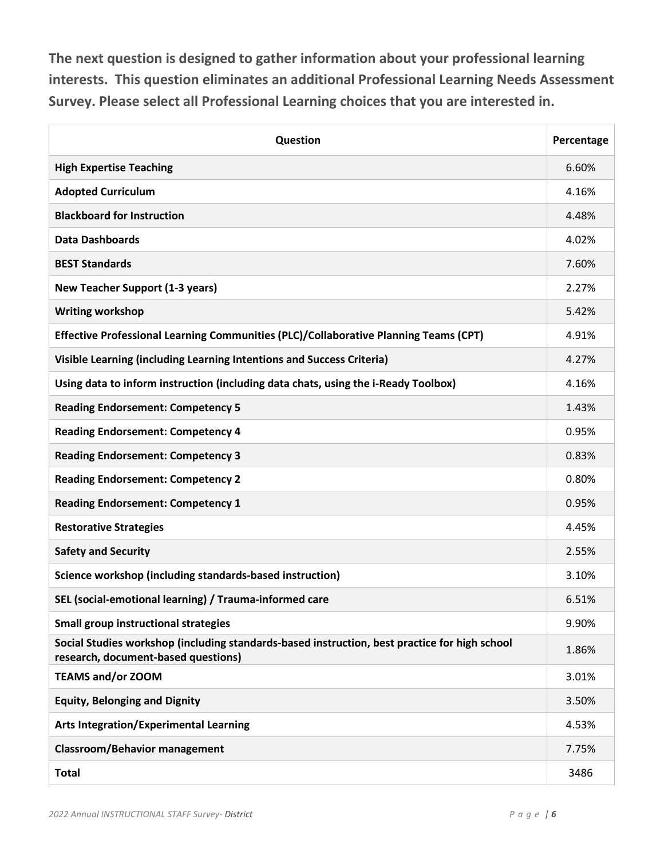**The next question is designed to gather information about your professional learning interests. This question eliminates an additional Professional Learning Needs Assessment Survey. Please select all Professional Learning choices that you are interested in.**

| Question                                                                                                                             | Percentage |
|--------------------------------------------------------------------------------------------------------------------------------------|------------|
| <b>High Expertise Teaching</b>                                                                                                       | 6.60%      |
| <b>Adopted Curriculum</b>                                                                                                            | 4.16%      |
| <b>Blackboard for Instruction</b>                                                                                                    | 4.48%      |
| <b>Data Dashboards</b>                                                                                                               | 4.02%      |
| <b>BEST Standards</b>                                                                                                                | 7.60%      |
| <b>New Teacher Support (1-3 years)</b>                                                                                               | 2.27%      |
| <b>Writing workshop</b>                                                                                                              | 5.42%      |
| Effective Professional Learning Communities (PLC)/Collaborative Planning Teams (CPT)                                                 | 4.91%      |
| Visible Learning (including Learning Intentions and Success Criteria)                                                                | 4.27%      |
| Using data to inform instruction (including data chats, using the i-Ready Toolbox)                                                   | 4.16%      |
| <b>Reading Endorsement: Competency 5</b>                                                                                             | 1.43%      |
| <b>Reading Endorsement: Competency 4</b>                                                                                             | 0.95%      |
| <b>Reading Endorsement: Competency 3</b>                                                                                             | 0.83%      |
| <b>Reading Endorsement: Competency 2</b>                                                                                             | 0.80%      |
| <b>Reading Endorsement: Competency 1</b>                                                                                             | 0.95%      |
| <b>Restorative Strategies</b>                                                                                                        | 4.45%      |
| <b>Safety and Security</b>                                                                                                           | 2.55%      |
| Science workshop (including standards-based instruction)                                                                             | 3.10%      |
| SEL (social-emotional learning) / Trauma-informed care                                                                               | 6.51%      |
| <b>Small group instructional strategies</b>                                                                                          | 9.90%      |
| Social Studies workshop (including standards-based instruction, best practice for high school<br>research, document-based questions) | 1.86%      |
| <b>TEAMS and/or ZOOM</b>                                                                                                             | 3.01%      |
| <b>Equity, Belonging and Dignity</b>                                                                                                 | 3.50%      |
| <b>Arts Integration/Experimental Learning</b>                                                                                        | 4.53%      |
| <b>Classroom/Behavior management</b>                                                                                                 | 7.75%      |
| <b>Total</b>                                                                                                                         | 3486       |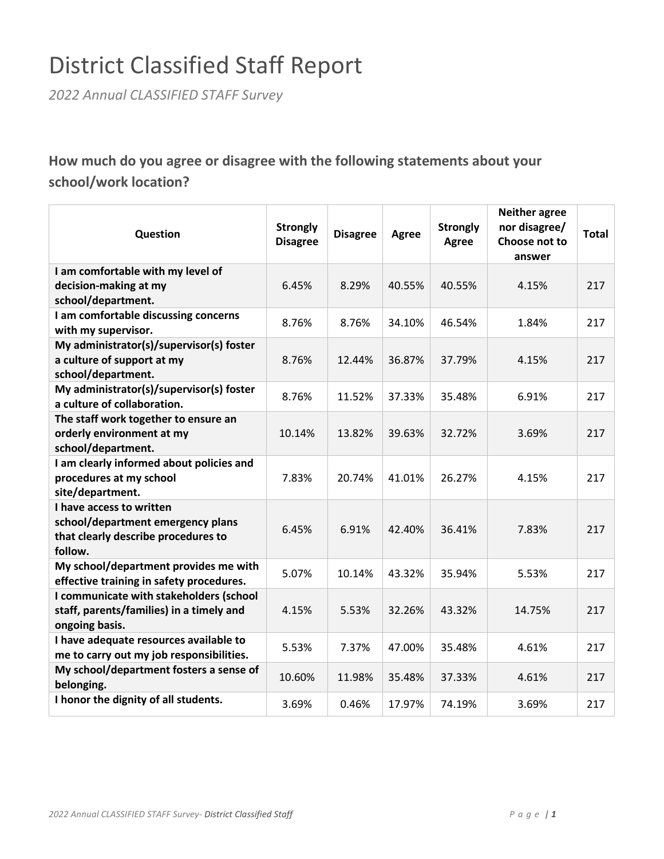# District Classified Staff Report

*2022 Annual CLASSIFIED STAFF Survey*

## **How much do you agree or disagree with the following statements about your school/work location?**

| Question                                                               | <b>Strongly</b><br><b>Disagree</b> | <b>Disagree</b> | Agree  | <b>Strongly</b><br>Agree | <b>Neither agree</b><br>nor disagree/<br>Choose not to<br>answer | <b>Total</b> |
|------------------------------------------------------------------------|------------------------------------|-----------------|--------|--------------------------|------------------------------------------------------------------|--------------|
| I am comfortable with my level of                                      |                                    |                 |        |                          |                                                                  |              |
| decision-making at my                                                  | 6.45%                              | 8.29%           | 40.55% | 40.55%                   | 4.15%                                                            | 217          |
| school/department.                                                     |                                    |                 |        |                          |                                                                  |              |
| I am comfortable discussing concerns                                   | 8.76%                              | 8.76%           | 34.10% | 46.54%                   | 1.84%                                                            | 217          |
| with my supervisor.                                                    |                                    |                 |        |                          |                                                                  |              |
| My administrator(s)/supervisor(s) foster<br>a culture of support at my | 8.76%                              | 12.44%          | 36.87% | 37.79%                   | 4.15%                                                            | 217          |
| school/department.                                                     |                                    |                 |        |                          |                                                                  |              |
| My administrator(s)/supervisor(s) foster                               |                                    |                 |        |                          |                                                                  |              |
| a culture of collaboration.                                            | 8.76%                              | 11.52%          | 37.33% | 35.48%                   | 6.91%                                                            | 217          |
| The staff work together to ensure an                                   |                                    |                 |        |                          |                                                                  |              |
| orderly environment at my                                              | 10.14%                             | 13.82%          | 39.63% | 32.72%                   | 3.69%                                                            | 217          |
| school/department.                                                     |                                    |                 |        |                          |                                                                  |              |
| I am clearly informed about policies and                               |                                    |                 |        |                          |                                                                  |              |
| procedures at my school                                                | 7.83%                              | 20.74%          | 41.01% | 26.27%                   | 4.15%                                                            | 217          |
| site/department.                                                       |                                    |                 |        |                          |                                                                  |              |
| I have access to written                                               |                                    |                 |        |                          |                                                                  |              |
| school/department emergency plans                                      | 6.45%                              | 6.91%           | 42.40% | 36.41%                   | 7.83%                                                            | 217          |
| that clearly describe procedures to                                    |                                    |                 |        |                          |                                                                  |              |
| follow.                                                                |                                    |                 |        |                          |                                                                  |              |
| My school/department provides me with                                  | 5.07%                              | 10.14%          | 43.32% | 35.94%                   | 5.53%                                                            | 217          |
| effective training in safety procedures.                               |                                    |                 |        |                          |                                                                  |              |
| I communicate with stakeholders (school                                |                                    |                 |        |                          |                                                                  |              |
| staff, parents/families) in a timely and<br>ongoing basis.             | 4.15%                              | 5.53%           | 32.26% | 43.32%                   | 14.75%                                                           | 217          |
| I have adequate resources available to                                 |                                    |                 |        |                          |                                                                  |              |
| me to carry out my job responsibilities.                               | 5.53%                              | 7.37%           | 47.00% | 35.48%                   | 4.61%                                                            | 217          |
| My school/department fosters a sense of                                |                                    |                 |        |                          |                                                                  |              |
| belonging.                                                             | 10.60%                             | 11.98%          | 35.48% | 37.33%                   | 4.61%                                                            | 217          |
| I honor the dignity of all students.                                   | 3.69%                              | 0.46%           | 17.97% | 74.19%                   | 3.69%                                                            | 217          |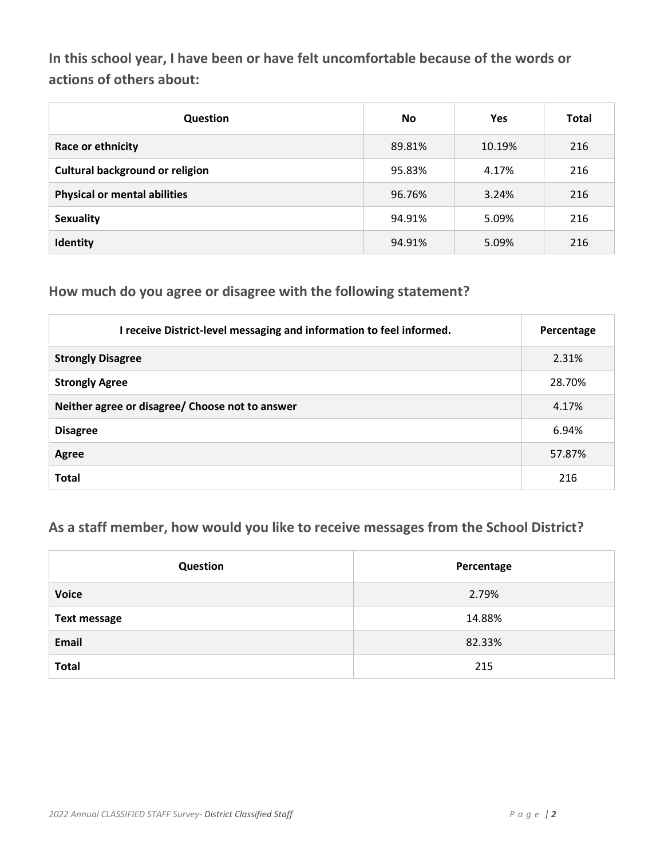**In this school year, I have been or have felt uncomfortable because of the words or actions of others about:**

| <b>Question</b>                        | <b>No</b> | <b>Yes</b> | <b>Total</b> |
|----------------------------------------|-----------|------------|--------------|
| Race or ethnicity                      | 89.81%    | 10.19%     | 216          |
| <b>Cultural background or religion</b> | 95.83%    | 4.17%      | 216          |
| <b>Physical or mental abilities</b>    | 96.76%    | 3.24%      | 216          |
| <b>Sexuality</b>                       | 94.91%    | 5.09%      | 216          |
| Identity                               | 94.91%    | 5.09%      | 216          |

#### **How much do you agree or disagree with the following statement?**

| I receive District-level messaging and information to feel informed. | Percentage |
|----------------------------------------------------------------------|------------|
| <b>Strongly Disagree</b>                                             | 2.31%      |
| <b>Strongly Agree</b>                                                | 28.70%     |
| Neither agree or disagree/ Choose not to answer                      | 4.17%      |
| <b>Disagree</b>                                                      | 6.94%      |
| <b>Agree</b>                                                         | 57.87%     |
| <b>Total</b>                                                         | 216        |

### **As a staff member, how would you like to receive messages from the School District?**

| Question            | Percentage |
|---------------------|------------|
| <b>Voice</b>        | 2.79%      |
| <b>Text message</b> | 14.88%     |
| Email               | 82.33%     |
| <b>Total</b>        | 215        |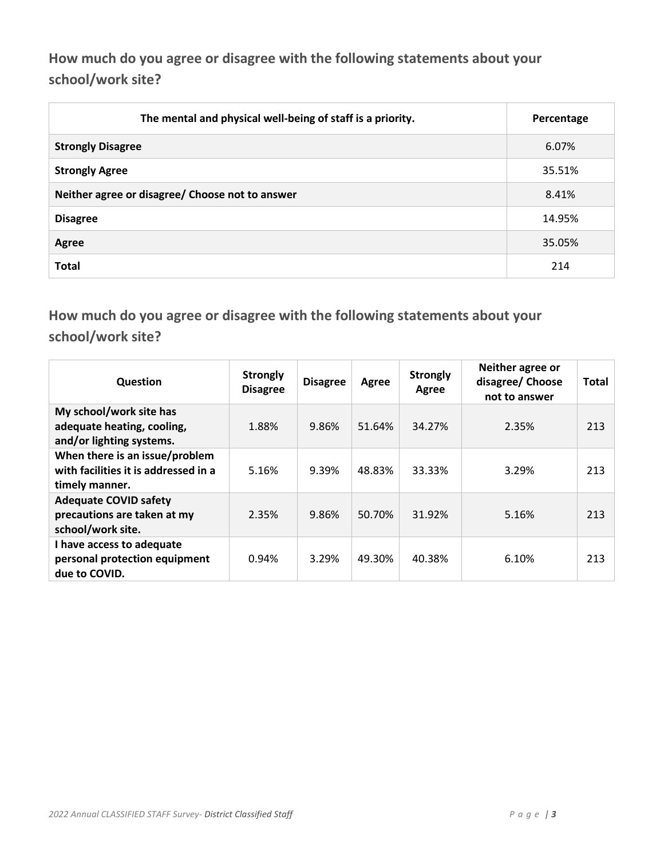**How much do you agree or disagree with the following statements about your school/work site?**

| The mental and physical well-being of staff is a priority. | Percentage |
|------------------------------------------------------------|------------|
| <b>Strongly Disagree</b>                                   | 6.07%      |
| <b>Strongly Agree</b>                                      | 35.51%     |
| Neither agree or disagree/ Choose not to answer            | 8.41%      |
| <b>Disagree</b>                                            | 14.95%     |
| Agree                                                      | 35.05%     |
| <b>Total</b>                                               | 214        |

**How much do you agree or disagree with the following statements about your school/work site?**

| Question                                                                                 | <b>Strongly</b><br><b>Disagree</b> | <b>Disagree</b> | Agree  | <b>Strongly</b><br>Agree | Neither agree or<br>disagree/ Choose<br>not to answer | Total |
|------------------------------------------------------------------------------------------|------------------------------------|-----------------|--------|--------------------------|-------------------------------------------------------|-------|
| My school/work site has<br>adequate heating, cooling,<br>and/or lighting systems.        | 1.88%                              | 9.86%           | 51.64% | 34.27%                   | 2.35%                                                 | 213   |
| When there is an issue/problem<br>with facilities it is addressed in a<br>timely manner. | 5.16%                              | 9.39%           | 48.83% | 33.33%                   | 3.29%                                                 | 213   |
| <b>Adequate COVID safety</b><br>precautions are taken at my<br>school/work site.         | 2.35%                              | 9.86%           | 50.70% | 31.92%                   | 5.16%                                                 | 213   |
| I have access to adequate<br>personal protection equipment<br>due to COVID.              | 0.94%                              | 3.29%           | 49.30% | 40.38%                   | 6.10%                                                 | 213   |